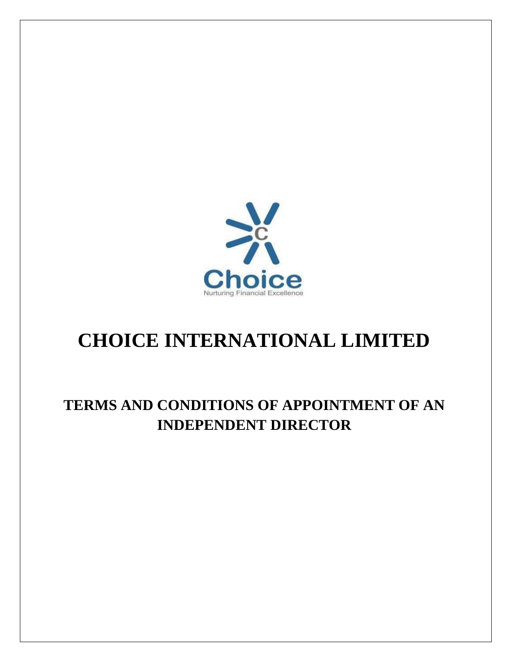

# **CHOICE INTERNATIONAL LIMITED**

## **TERMS AND CONDITIONS OF APPOINTMENT OF AN INDEPENDENT DIRECTOR**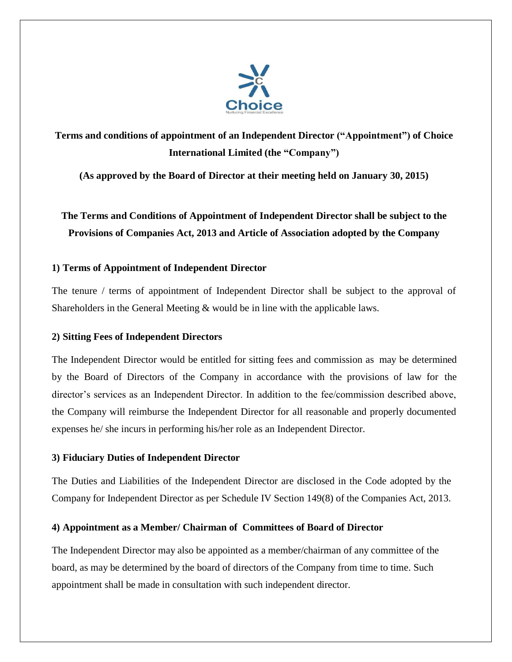

### **Terms and conditions of appointment of an Independent Director ("Appointment") of Choice International Limited (the "Company")**

**(As approved by the Board of Director at their meeting held on January 30, 2015)**

**The Terms and Conditions of Appointment of Independent Director shall be subject to the Provisions of Companies Act, 2013 and Article of Association adopted by the Company**

#### **1) Terms of Appointment of Independent Director**

The tenure / terms of appointment of Independent Director shall be subject to the approval of Shareholders in the General Meeting & would be in line with the applicable laws.

#### **2) Sitting Fees of Independent Directors**

The Independent Director would be entitled for sitting fees and commission as may be determined by the Board of Directors of the Company in accordance with the provisions of law for the director's services as an Independent Director. In addition to the fee/commission described above, the Company will reimburse the Independent Director for all reasonable and properly documented expenses he/ she incurs in performing his/her role as an Independent Director.

#### **3) Fiduciary Duties of Independent Director**

The Duties and Liabilities of the Independent Director are disclosed in the Code adopted by the Company for Independent Director as per Schedule IV Section 149(8) of the Companies Act, 2013.

#### **4) Appointment as a Member/ Chairman of Committees of Board of Director**

The Independent Director may also be appointed as a member/chairman of any committee of the board, as may be determined by the board of directors of the Company from time to time. Such appointment shall be made in consultation with such independent director.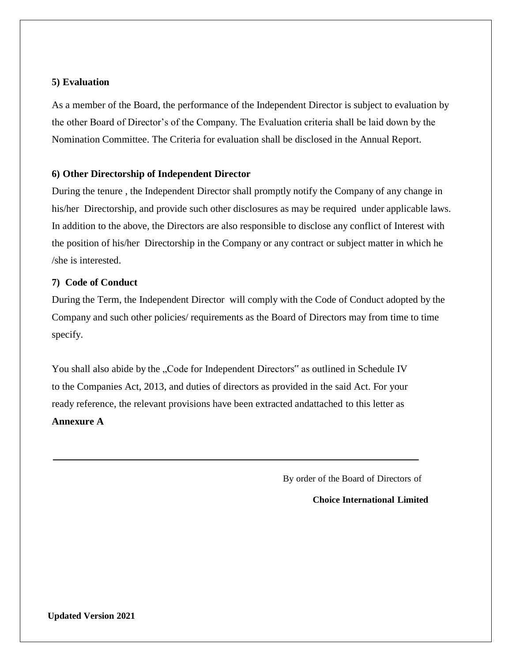#### **5) Evaluation**

As a member of the Board, the performance of the Independent Director is subject to evaluation by the other Board of Director's of the Company. The Evaluation criteria shall be laid down by the Nomination Committee. The Criteria for evaluation shall be disclosed in the Annual Report.

#### **6) Other Directorship of Independent Director**

During the tenure , the Independent Director shall promptly notify the Company of any change in his/her Directorship, and provide such other disclosures as may be required under applicable laws. In addition to the above, the Directors are also responsible to disclose any conflict of Interest with the position of his/her Directorship in the Company or any contract or subject matter in which he /she is interested.

#### **7) Code of Conduct**

During the Term, the Independent Director will comply with the Code of Conduct adopted by the Company and such other policies/ requirements as the Board of Directors may from time to time specify.

You shall also abide by the "Code for Independent Directors" as outlined in Schedule IV to the Companies Act, 2013, and duties of directors as provided in the said Act. For your ready reference, the relevant provisions have been extracted andattached to this letter as **Annexure A**

By order of the Board of Directors of

**Choice International Limited**

**Updated Version 2021**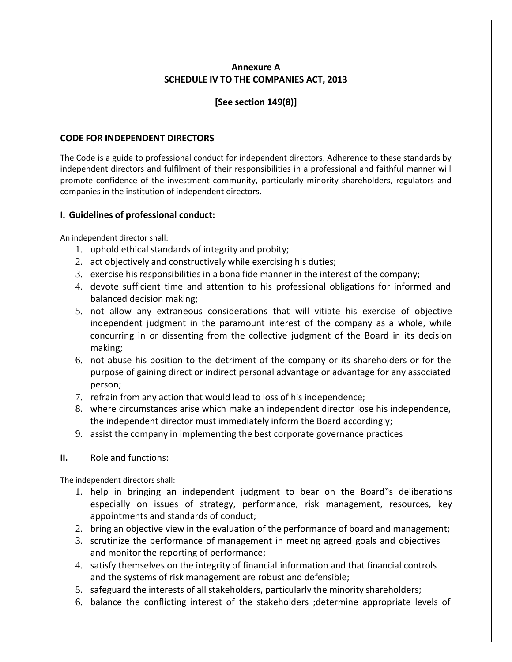#### **Annexure A SCHEDULE IV TO THE COMPANIES ACT, 2013**

#### **[See section 149(8)]**

#### **CODE FOR INDEPENDENT DIRECTORS**

The Code is a guide to professional conduct for independent directors. Adherence to these standards by independent directors and fulfilment of their responsibilities in a professional and faithful manner will promote confidence of the investment community, particularly minority shareholders, regulators and companies in the institution of independent directors.

#### **I. Guidelines of professional conduct:**

An independent director shall:

- 1. uphold ethical standards of integrity and probity;
- 2. act objectively and constructively while exercising his duties;
- 3. exercise his responsibilities in a bona fide manner in the interest of the company;
- 4. devote sufficient time and attention to his professional obligations for informed and balanced decision making;
- 5. not allow any extraneous considerations that will vitiate his exercise of objective independent judgment in the paramount interest of the company as a whole, while concurring in or dissenting from the collective judgment of the Board in its decision making;
- 6. not abuse his position to the detriment of the company or its shareholders or for the purpose of gaining direct or indirect personal advantage or advantage for any associated person;
- 7. refrain from any action that would lead to loss of his independence;
- 8. where circumstances arise which make an independent director lose his independence, the independent director must immediately inform the Board accordingly;
- 9. assist the company in implementing the best corporate governance practices

#### **II.** Role and functions:

The independent directors shall:

- 1. help in bringing an independent judgment to bear on the Board"s deliberations especially on issues of strategy, performance, risk management, resources, key appointments and standards of conduct;
- 2. bring an objective view in the evaluation of the performance of board and management;
- 3. scrutinize the performance of management in meeting agreed goals and objectives and monitor the reporting of performance;
- 4. satisfy themselves on the integrity of financial information and that financial controls and the systems of risk management are robust and defensible;
- 5. safeguard the interests of all stakeholders, particularly the minority shareholders;
- 6. balance the conflicting interest of the stakeholders ;determine appropriate levels of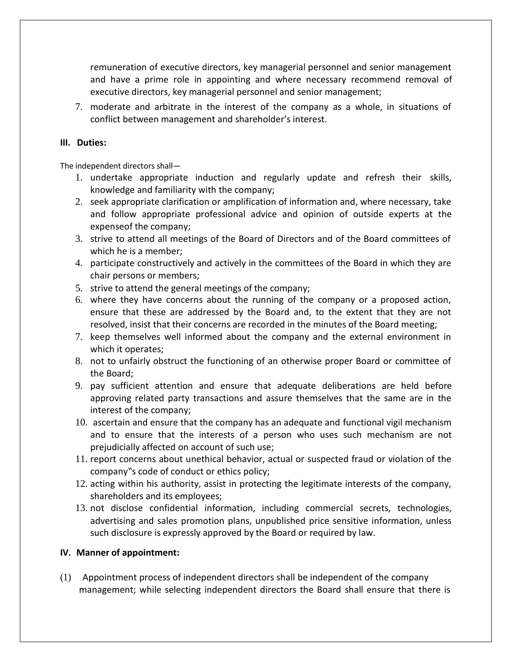remuneration of executive directors, key managerial personnel and senior management and have a prime role in appointing and where necessary recommend removal of executive directors, key managerial personnel and senior management;

7. moderate and arbitrate in the interest of the company as a whole, in situations of conflict between management and shareholder's interest.

#### **III. Duties:**

The independent directors shall—

- 1. undertake appropriate induction and regularly update and refresh their skills, knowledge and familiarity with the company;
- 2. seek appropriate clarification or amplification of information and, where necessary, take and follow appropriate professional advice and opinion of outside experts at the expenseof the company;
- 3. strive to attend all meetings of the Board of Directors and of the Board committees of which he is a member;
- 4. participate constructively and actively in the committees of the Board in which they are chair persons or members;
- 5. strive to attend the general meetings of the company;
- 6. where they have concerns about the running of the company or a proposed action, ensure that these are addressed by the Board and, to the extent that they are not resolved, insist that their concerns are recorded in the minutes of the Board meeting;
- 7. keep themselves well informed about the company and the external environment in which it operates;
- 8. not to unfairly obstruct the functioning of an otherwise proper Board or committee of the Board;
- 9. pay sufficient attention and ensure that adequate deliberations are held before approving related party transactions and assure themselves that the same are in the interest of the company;
- 10. ascertain and ensure that the company has an adequate and functional vigil mechanism and to ensure that the interests of a person who uses such mechanism are not prejudicially affected on account of such use;
- 11. report concerns about unethical behavior, actual or suspected fraud or violation of the company"s code of conduct or ethics policy;
- 12. acting within his authority, assist in protecting the legitimate interests of the company, shareholders and its employees;
- 13. not disclose confidential information, including commercial secrets, technologies, advertising and sales promotion plans, unpublished price sensitive information, unless such disclosure is expressly approved by the Board or required by law.

#### **IV. Manner of appointment:**

(1) Appointment process of independent directors shall be independent of the company management; while selecting independent directors the Board shall ensure that there is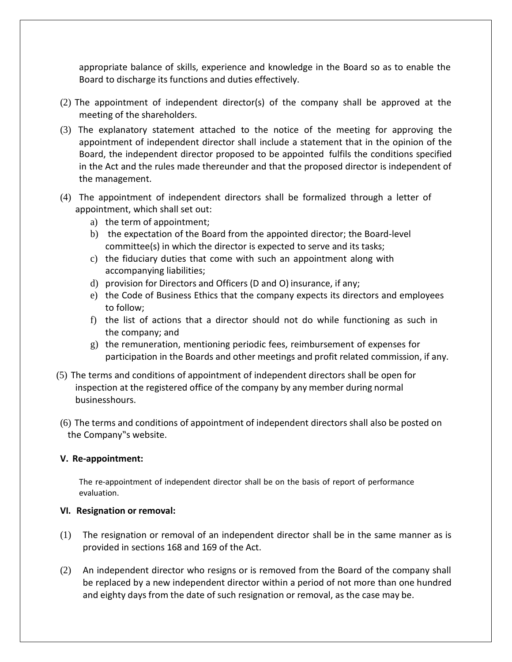appropriate balance of skills, experience and knowledge in the Board so as to enable the Board to discharge its functions and duties effectively.

- (2) The appointment of independent director(s) of the company shall be approved at the meeting of the shareholders.
- (3) The explanatory statement attached to the notice of the meeting for approving the appointment of independent director shall include a statement that in the opinion of the Board, the independent director proposed to be appointed fulfils the conditions specified in the Act and the rules made thereunder and that the proposed director is independent of the management.
- (4) The appointment of independent directors shall be formalized through a letter of appointment, which shall set out:
	- a) the term of appointment;
	- b) the expectation of the Board from the appointed director; the Board-level committee(s) in which the director is expected to serve and its tasks;
	- c) the fiduciary duties that come with such an appointment along with accompanying liabilities;
	- d) provision for Directors and Officers (D and O) insurance, if any;
	- e) the Code of Business Ethics that the company expects its directors and employees to follow;
	- f) the list of actions that a director should not do while functioning as such in the company; and
	- g) the remuneration, mentioning periodic fees, reimbursement of expenses for participation in the Boards and other meetings and profit related commission, if any.
- (5) The terms and conditions of appointment of independent directors shall be open for inspection at the registered office of the company by any member during normal businesshours.
- (6) The terms and conditions of appointment of independent directors shall also be posted on the Company"s website.

#### **V. Re-appointment:**

The re-appointment of independent director shall be on the basis of report of performance evaluation.

#### **VI. Resignation or removal:**

- (1) The resignation or removal of an independent director shall be in the same manner as is provided in sections 168 and 169 of the Act.
- (2) An independent director who resigns or is removed from the Board of the company shall be replaced by a new independent director within a period of not more than one hundred and eighty days from the date of such resignation or removal, as the case may be.